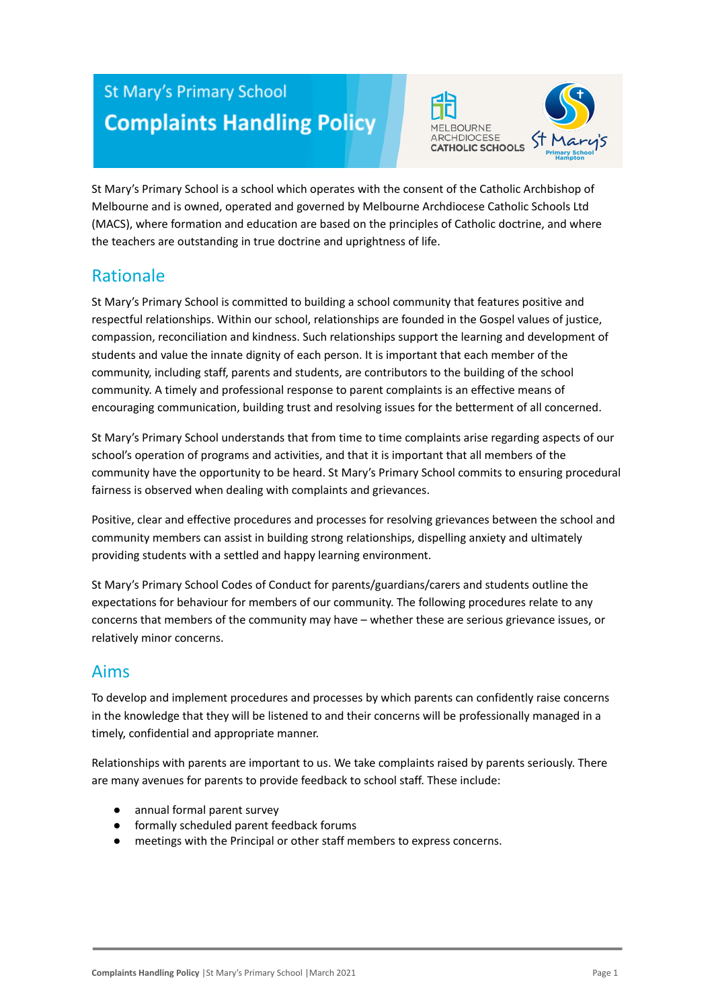# **St Mary's Primary School Complaints Handling Policy**



St Mary's Primary School is a school which operates with the consent of the Catholic Archbishop of Melbourne and is owned, operated and governed by Melbourne Archdiocese Catholic Schools Ltd (MACS), where formation and education are based on the principles of Catholic doctrine, and where the teachers are outstanding in true doctrine and uprightness of life.

## Rationale

St Mary's Primary School is committed to building a school community that features positive and respectful relationships. Within our school, relationships are founded in the Gospel values of justice, compassion, reconciliation and kindness. Such relationships support the learning and development of students and value the innate dignity of each person. It is important that each member of the community, including staff, parents and students, are contributors to the building of the school community. A timely and professional response to parent complaints is an effective means of encouraging communication, building trust and resolving issues for the betterment of all concerned.

St Mary's Primary School understands that from time to time complaints arise regarding aspects of our school's operation of programs and activities, and that it is important that all members of the community have the opportunity to be heard. St Mary's Primary School commits to ensuring procedural fairness is observed when dealing with complaints and grievances.

Positive, clear and effective procedures and processes for resolving grievances between the school and community members can assist in building strong relationships, dispelling anxiety and ultimately providing students with a settled and happy learning environment.

St Mary's Primary School Codes of Conduct for parents/guardians/carers and students outline the expectations for behaviour for members of our community. The following procedures relate to any concerns that members of the community may have – whether these are serious grievance issues, or relatively minor concerns.

### Aims

To develop and implement procedures and processes by which parents can confidently raise concerns in the knowledge that they will be listened to and their concerns will be professionally managed in a timely, confidential and appropriate manner.

Relationships with parents are important to us. We take complaints raised by parents seriously. There are many avenues for parents to provide feedback to school staff. These include:

- annual formal parent survey
- formally scheduled parent feedback forums
- meetings with the Principal or other staff members to express concerns.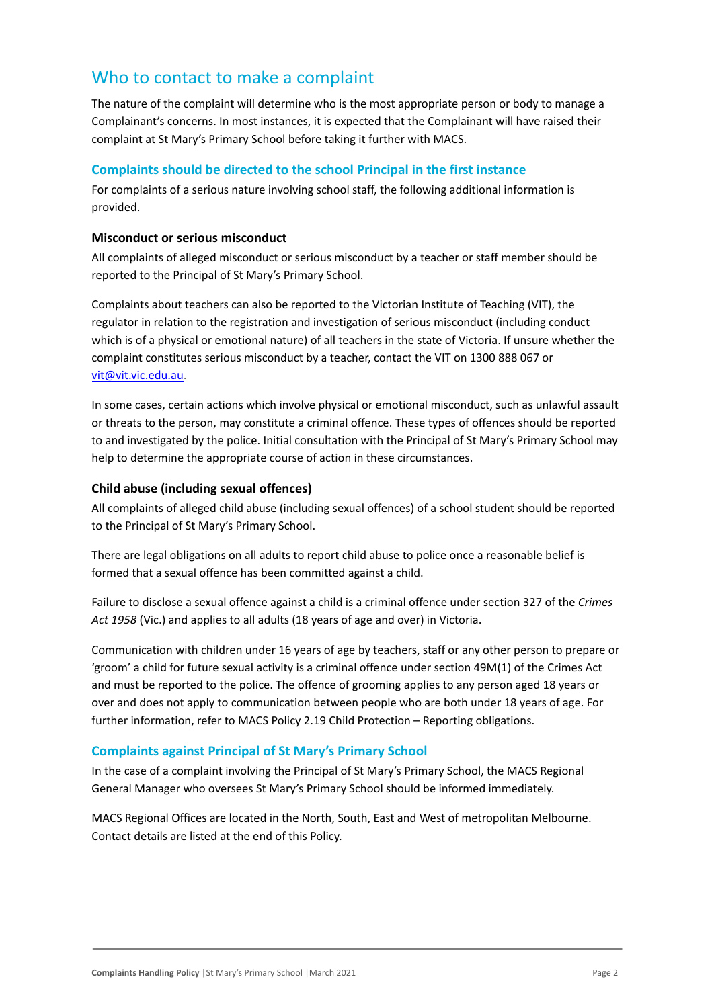## Who to contact to make a complaint

The nature of the complaint will determine who is the most appropriate person or body to manage a Complainant's concerns. In most instances, it is expected that the Complainant will have raised their complaint at St Mary's Primary School before taking it further with MACS.

#### **Complaints should be directed to the school Principal in the first instance**

For complaints of a serious nature involving school staff, the following additional information is provided.

#### **Misconduct or serious misconduct**

All complaints of alleged misconduct or serious misconduct by a teacher or staff member should be reported to the Principal of St Mary's Primary School.

Complaints about teachers can also be reported to the Victorian Institute of Teaching (VIT), the regulator in relation to the registration and investigation of serious misconduct (including conduct which is of a physical or emotional nature) of all teachers in the state of Victoria. If unsure whether the complaint constitutes serious misconduct by a teacher, contact the VIT on 1300 888 067 or [vit@vit.vic.edu.au](mailto:vit@vit.vic.edu.au).

In some cases, certain actions which involve physical or emotional misconduct, such as unlawful assault or threats to the person, may constitute a criminal offence. These types of offences should be reported to and investigated by the police. Initial consultation with the Principal of St Mary's Primary School may help to determine the appropriate course of action in these circumstances.

#### **Child abuse (including sexual offences)**

All complaints of alleged child abuse (including sexual offences) of a school student should be reported to the Principal of St Mary's Primary School.

There are legal obligations on all adults to report child abuse to police once a reasonable belief is formed that a sexual offence has been committed against a child.

Failure to disclose a sexual offence against a child is a criminal offence under section 327 of the *Crimes Act 1958* (Vic.) and applies to all adults (18 years of age and over) in Victoria.

Communication with children under 16 years of age by teachers, staff or any other person to prepare or 'groom' a child for future sexual activity is a criminal offence under section 49M(1) of the Crimes Act and must be reported to the police. The offence of grooming applies to any person aged 18 years or over and does not apply to communication between people who are both under 18 years of age. For further information, refer to MACS Policy 2.19 Child Protection – Reporting obligations.

#### **Complaints against Principal of St Mary's Primary School**

In the case of a complaint involving the Principal of St Mary's Primary School, the MACS Regional General Manager who oversees St Mary's Primary School should be informed immediately.

MACS Regional Offices are located in the North, South, East and West of metropolitan Melbourne. Contact details are listed at the end of this Policy.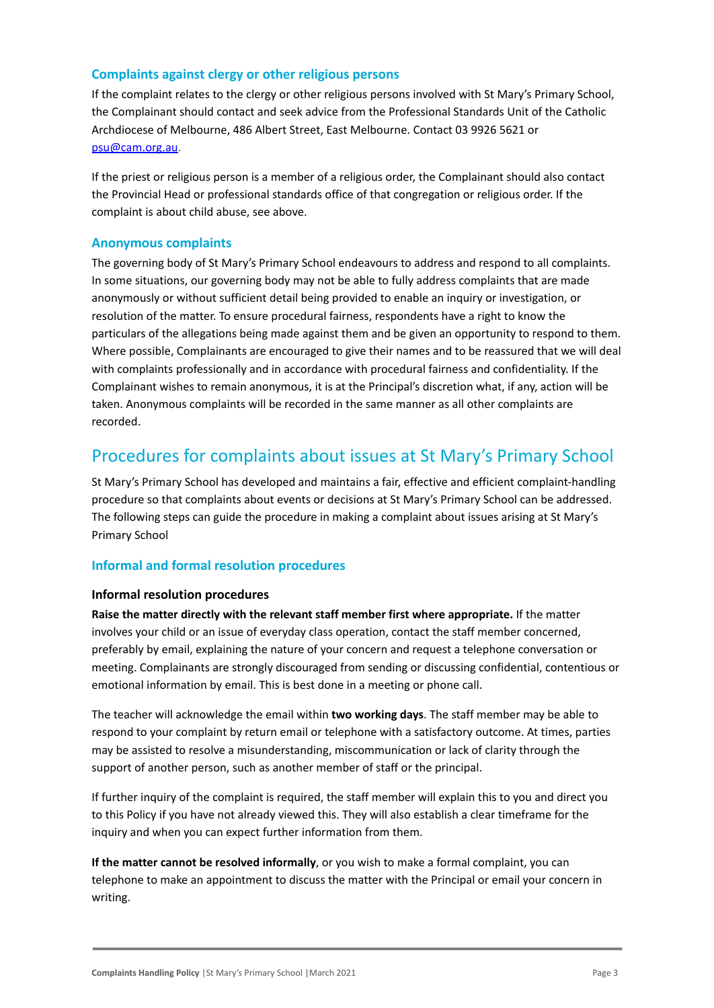#### **Complaints against clergy or other religious persons**

If the complaint relates to the clergy or other religious persons involved with St Mary's Primary School, the Complainant should contact and seek advice from the Professional Standards Unit of the Catholic Archdiocese of Melbourne, 486 Albert Street, East Melbourne. Contact 03 9926 5621 or [psu@cam.org.au.](mailto:psu@cam.org.au)

If the priest or religious person is a member of a religious order, the Complainant should also contact the Provincial Head or professional standards office of that congregation or religious order. If the complaint is about child abuse, see above.

#### **Anonymous complaints**

The governing body of St Mary's Primary School endeavours to address and respond to all complaints. In some situations, our governing body may not be able to fully address complaints that are made anonymously or without sufficient detail being provided to enable an inquiry or investigation, or resolution of the matter. To ensure procedural fairness, respondents have a right to know the particulars of the allegations being made against them and be given an opportunity to respond to them. Where possible, Complainants are encouraged to give their names and to be reassured that we will deal with complaints professionally and in accordance with procedural fairness and confidentiality. If the Complainant wishes to remain anonymous, it is at the Principal's discretion what, if any, action will be taken. Anonymous complaints will be recorded in the same manner as all other complaints are recorded.

## Procedures for complaints about issues at St Mary's Primary School

St Mary's Primary School has developed and maintains a fair, effective and efficient complaint-handling procedure so that complaints about events or decisions at St Mary's Primary School can be addressed. The following steps can guide the procedure in making a complaint about issues arising at St Mary's Primary School

#### **Informal and formal resolution procedures**

#### **Informal resolution procedures**

**Raise the matter directly with the relevant staff member first where appropriate.** If the matter involves your child or an issue of everyday class operation, contact the staff member concerned, preferably by email, explaining the nature of your concern and request a telephone conversation or meeting. Complainants are strongly discouraged from sending or discussing confidential, contentious or emotional information by email. This is best done in a meeting or phone call.

The teacher will acknowledge the email within **two working days**. The staff member may be able to respond to your complaint by return email or telephone with a satisfactory outcome. At times, parties may be assisted to resolve a misunderstanding, miscommunication or lack of clarity through the support of another person, such as another member of staff or the principal.

If further inquiry of the complaint is required, the staff member will explain this to you and direct you to this Policy if you have not already viewed this. They will also establish a clear timeframe for the inquiry and when you can expect further information from them.

**If the matter cannot be resolved informally**, or you wish to make a formal complaint, you can telephone to make an appointment to discuss the matter with the Principal or email your concern in writing.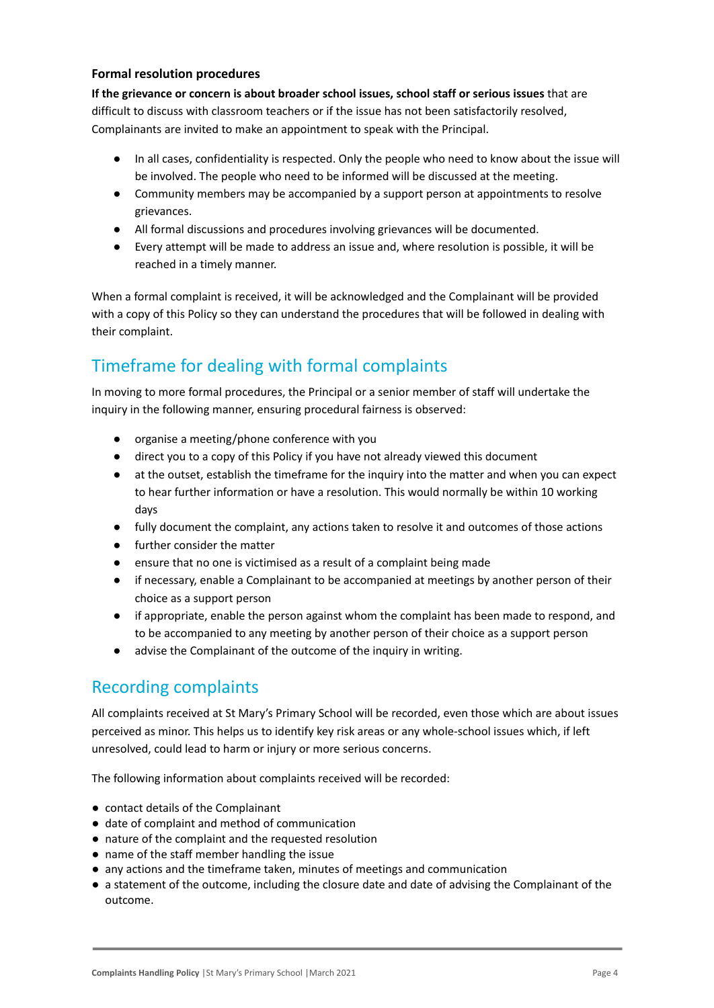#### **Formal resolution procedures**

**If the grievance or concern is about broader school issues, school staff or serious issues** that are difficult to discuss with classroom teachers or if the issue has not been satisfactorily resolved, Complainants are invited to make an appointment to speak with the Principal.

- In all cases, confidentiality is respected. Only the people who need to know about the issue will be involved. The people who need to be informed will be discussed at the meeting.
- Community members may be accompanied by a support person at appointments to resolve grievances.
- All formal discussions and procedures involving grievances will be documented.
- Every attempt will be made to address an issue and, where resolution is possible, it will be reached in a timely manner.

When a formal complaint is received, it will be acknowledged and the Complainant will be provided with a copy of this Policy so they can understand the procedures that will be followed in dealing with their complaint.

## Timeframe for dealing with formal complaints

In moving to more formal procedures, the Principal or a senior member of staff will undertake the inquiry in the following manner, ensuring procedural fairness is observed:

- organise a meeting/phone conference with you
- direct you to a copy of this Policy if you have not already viewed this document
- at the outset, establish the timeframe for the inquiry into the matter and when you can expect to hear further information or have a resolution. This would normally be within 10 working days
- fully document the complaint, any actions taken to resolve it and outcomes of those actions
- further consider the matter
- ensure that no one is victimised as a result of a complaint being made
- if necessary, enable a Complainant to be accompanied at meetings by another person of their choice as a support person
- if appropriate, enable the person against whom the complaint has been made to respond, and to be accompanied to any meeting by another person of their choice as a support person
- advise the Complainant of the outcome of the inquiry in writing.

## Recording complaints

All complaints received at St Mary's Primary School will be recorded, even those which are about issues perceived as minor. This helps us to identify key risk areas or any whole-school issues which, if left unresolved, could lead to harm or injury or more serious concerns.

The following information about complaints received will be recorded:

- contact details of the Complainant
- date of complaint and method of communication
- nature of the complaint and the requested resolution
- name of the staff member handling the issue
- any actions and the timeframe taken, minutes of meetings and communication
- a statement of the outcome, including the closure date and date of advising the Complainant of the outcome.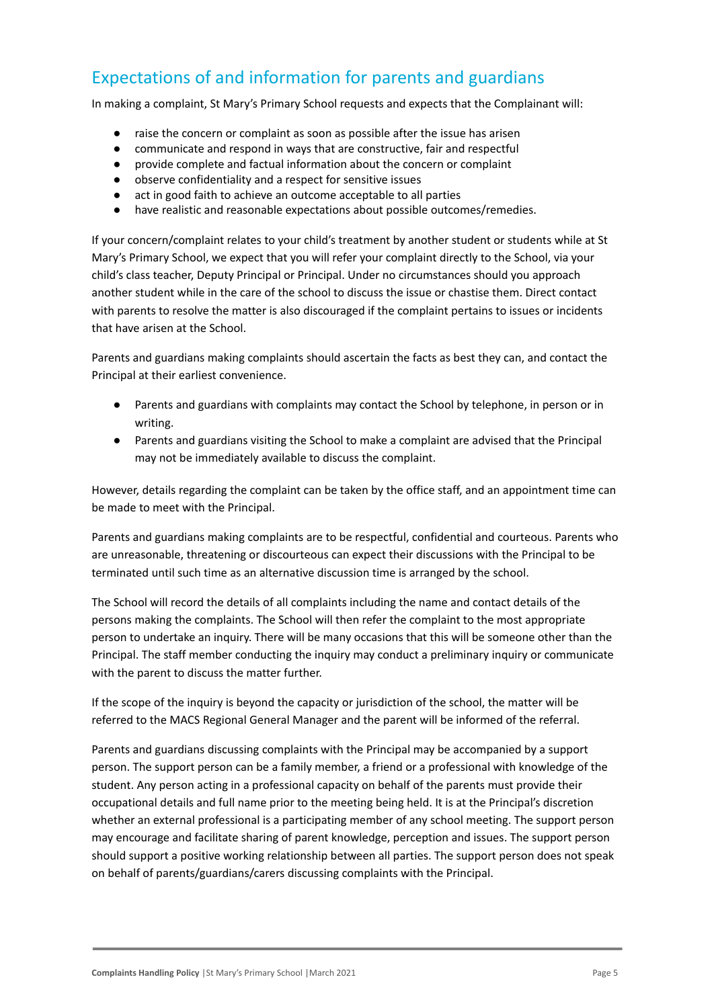## Expectations of and information for parents and guardians

In making a complaint, St Mary's Primary School requests and expects that the Complainant will:

- raise the concern or complaint as soon as possible after the issue has arisen
- communicate and respond in ways that are constructive, fair and respectful
- provide complete and factual information about the concern or complaint
- observe confidentiality and a respect for sensitive issues
- act in good faith to achieve an outcome acceptable to all parties
- have realistic and reasonable expectations about possible outcomes/remedies.

If your concern/complaint relates to your child's treatment by another student or students while at St Mary's Primary School, we expect that you will refer your complaint directly to the School, via your child's class teacher, Deputy Principal or Principal. Under no circumstances should you approach another student while in the care of the school to discuss the issue or chastise them. Direct contact with parents to resolve the matter is also discouraged if the complaint pertains to issues or incidents that have arisen at the School.

Parents and guardians making complaints should ascertain the facts as best they can, and contact the Principal at their earliest convenience.

- Parents and guardians with complaints may contact the School by telephone, in person or in writing.
- Parents and guardians visiting the School to make a complaint are advised that the Principal may not be immediately available to discuss the complaint.

However, details regarding the complaint can be taken by the office staff, and an appointment time can be made to meet with the Principal.

Parents and guardians making complaints are to be respectful, confidential and courteous. Parents who are unreasonable, threatening or discourteous can expect their discussions with the Principal to be terminated until such time as an alternative discussion time is arranged by the school.

The School will record the details of all complaints including the name and contact details of the persons making the complaints. The School will then refer the complaint to the most appropriate person to undertake an inquiry. There will be many occasions that this will be someone other than the Principal. The staff member conducting the inquiry may conduct a preliminary inquiry or communicate with the parent to discuss the matter further.

If the scope of the inquiry is beyond the capacity or jurisdiction of the school, the matter will be referred to the MACS Regional General Manager and the parent will be informed of the referral.

Parents and guardians discussing complaints with the Principal may be accompanied by a support person. The support person can be a family member, a friend or a professional with knowledge of the student. Any person acting in a professional capacity on behalf of the parents must provide their occupational details and full name prior to the meeting being held. It is at the Principal's discretion whether an external professional is a participating member of any school meeting. The support person may encourage and facilitate sharing of parent knowledge, perception and issues. The support person should support a positive working relationship between all parties. The support person does not speak on behalf of parents/guardians/carers discussing complaints with the Principal.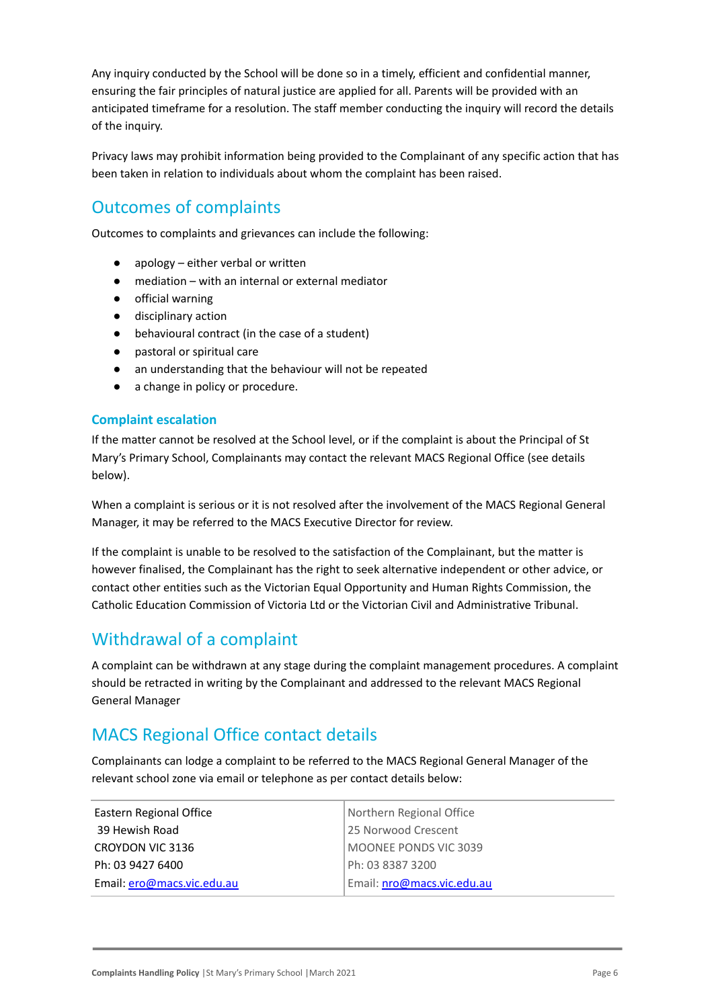Any inquiry conducted by the School will be done so in a timely, efficient and confidential manner, ensuring the fair principles of natural justice are applied for all. Parents will be provided with an anticipated timeframe for a resolution. The staff member conducting the inquiry will record the details of the inquiry.

Privacy laws may prohibit information being provided to the Complainant of any specific action that has been taken in relation to individuals about whom the complaint has been raised.

## Outcomes of complaints

Outcomes to complaints and grievances can include the following:

- $apology either verbal or written$
- mediation with an internal or external mediator
- official warning
- disciplinary action
- behavioural contract (in the case of a student)
- pastoral or spiritual care
- an understanding that the behaviour will not be repeated
- a change in policy or procedure.

#### **Complaint escalation**

If the matter cannot be resolved at the School level, or if the complaint is about the Principal of St Mary's Primary School, Complainants may contact the relevant MACS Regional Office (see details below).

When a complaint is serious or it is not resolved after the involvement of the MACS Regional General Manager, it may be referred to the MACS Executive Director for review.

If the complaint is unable to be resolved to the satisfaction of the Complainant, but the matter is however finalised, the Complainant has the right to seek alternative independent or other advice, or contact other entities such as the Victorian Equal Opportunity and Human Rights Commission, the Catholic Education Commission of Victoria Ltd or the Victorian Civil and Administrative Tribunal.

### Withdrawal of a complaint

A complaint can be withdrawn at any stage during the complaint management procedures. A complaint should be retracted in writing by the Complainant and addressed to the relevant MACS Regional General Manager

## MACS Regional Office contact details

Complainants can lodge a complaint to be referred to the MACS Regional General Manager of the relevant school zone via email or telephone as per contact details below:

| Eastern Regional Office    | Northern Regional Office   |
|----------------------------|----------------------------|
| 39 Hewish Road             | 25 Norwood Crescent        |
| CROYDON VIC 3136           | MOONEE PONDS VIC 3039      |
| Ph: 03 9427 6400           | Ph: 03 8387 3200           |
| Email: ero@macs.vic.edu.au | Email: nro@macs.vic.edu.au |